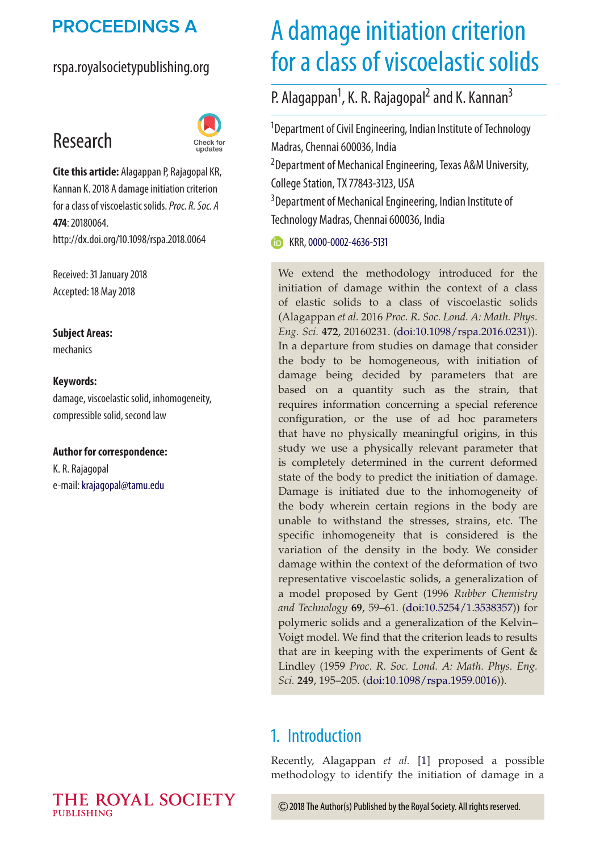# **PROCEEDINGS A**

#### rspa.royalsocietypublishing.org

# Research



**Cite this article:** Alagappan P, Rajagopal KR, Kannan K. 2018 A damage initiation criterion for a class of viscoelastic solids.*Proc. R. Soc. A* **474**: 20180064. http://dx.doi.org/10.1098/rspa.2018.0064

Received: 31 January 2018 Accepted: 18 May 2018

#### **Subject Areas:**

mechanics

#### **Keywords:**

damage, viscoelastic solid, inhomogeneity, compressible solid, second law

#### **Author for correspondence:**

K. R. Rajagopal e-mail: [krajagopal@tamu.edu](mailto:krajagopal@tamu.edu)

# A damage initiation criterion for a class of viscoelastic solids

### P. Alagappan<sup>1</sup>, K. R. Rajagopal<sup>2</sup> and K. Kannan<sup>3</sup>

1 Department of Civil Engineering, Indian Institute of Technology Madras, Chennai 600036, India 2 Department of Mechanical Engineering, Texas A&M University, College Station, TX 77843-3123, USA <sup>3</sup>Department of Mechanical Engineering, Indian Institute of Technology Madras, Chennai 600036, India

**CD** KRR, [0000-0002-4636-5131](http://orcid.org/0000-0002-4636-5131)

We extend the methodology introduced for the initiation of damage within the context of a class of elastic solids to a class of viscoelastic solids (Alagappan *et al.* 2016 *Proc. R. Soc. Lond. A: Math. Phys. Eng. Sci.* **472**, 20160231. [\(doi:10.1098/rspa.2016.0231\)](http://dx.doi.org/doi:10.1098/rspa.2016.0231)). In a departure from studies on damage that consider the body to be homogeneous, with initiation of damage being decided by parameters that are based on a quantity such as the strain, that requires information concerning a special reference configuration, or the use of ad hoc parameters that have no physically meaningful origins, in this study we use a physically relevant parameter that is completely determined in the current deformed state of the body to predict the initiation of damage. Damage is initiated due to the inhomogeneity of the body wherein certain regions in the body are unable to withstand the stresses, strains, etc. The specific inhomogeneity that is considered is the variation of the density in the body. We consider damage within the context of the deformation of two representative viscoelastic solids, a generalization of a model proposed by Gent (1996 *Rubber Chemistry and Technology* **69**, 59–61. [\(doi:10.5254/1.3538357\)](http://dx.doi.org/doi:10.5254/1.3538357)) for polymeric solids and a generalization of the Kelvin– Voigt model. We find that the criterion leads to results that are in keeping with the experiments of Gent & Lindley (1959 *Proc. R. Soc. Lond. A: Math. Phys. Eng. Sci.* **249**, 195–205. [\(doi:10.1098/rspa.1959.0016\)](http://dx.doi.org/doi:10.1098/rspa.1959.0016)).

### 1. Introduction

Recently, Alagappan *et al.* [\[1\]](#page-17-0) proposed a possible methodology to identify the initiation of damage in a

THE ROYAL SOCIETY **PUBLISHING** 

2018 The Author(s) Published by the Royal Society. All rights reserved.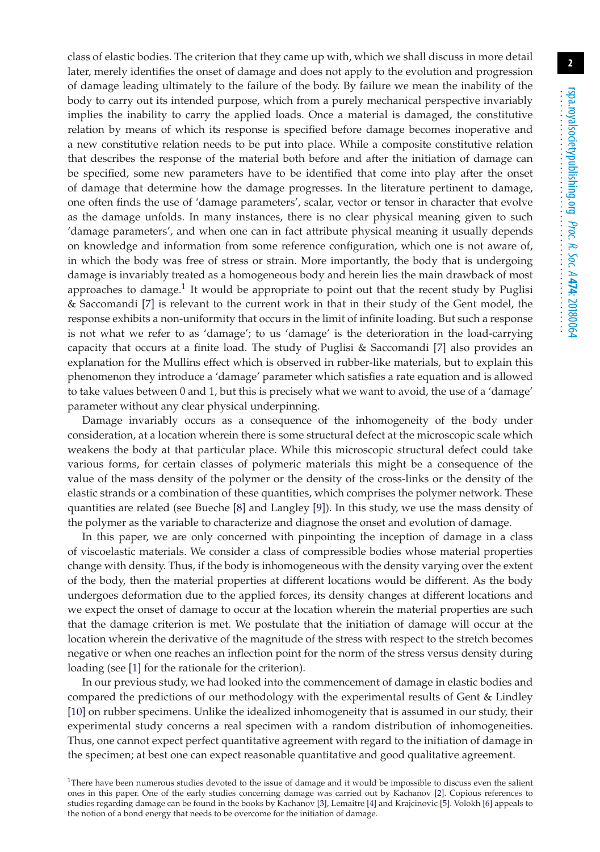class of elastic bodies. The criterion that they came up with, which we shall discuss in more detail later, merely identifies the onset of damage and does not apply to the evolution and progression of damage leading ultimately to the failure of the body. By failure we mean the inability of the body to carry out its intended purpose, which from a purely mechanical perspective invariably implies the inability to carry the applied loads. Once a material is damaged, the constitutive relation by means of which its response is specified before damage becomes inoperative and a new constitutive relation needs to be put into place. While a composite constitutive relation that describes the response of the material both before and after the initiation of damage can be specified, some new parameters have to be identified that come into play after the onset of damage that determine how the damage progresses. In the literature pertinent to damage, one often finds the use of 'damage parameters', scalar, vector or tensor in character that evolve as the damage unfolds. In many instances, there is no clear physical meaning given to such 'damage parameters', and when one can in fact attribute physical meaning it usually depends on knowledge and information from some reference configuration, which one is not aware of, in which the body was free of stress or strain. More importantly, the body that is undergoing damage is invariably treated as a homogeneous body and herein lies the main drawback of most approaches to damage.<sup>1</sup> It would be appropriate to point out that the recent study by Puglisi & Saccomandi [\[7\]](#page-17-1) is relevant to the current work in that in their study of the Gent model, the response exhibits a non-uniformity that occurs in the limit of infinite loading. But such a response is not what we refer to as 'damage'; to us 'damage' is the deterioration in the load-carrying capacity that occurs at a finite load. The study of Puglisi & Saccomandi [\[7\]](#page-17-1) also provides an explanation for the Mullins effect which is observed in rubber-like materials, but to explain this phenomenon they introduce a 'damage' parameter which satisfies a rate equation and is allowed to take values between 0 and 1, but this is precisely what we want to avoid, the use of a 'damage' parameter without any clear physical underpinning.

Damage invariably occurs as a consequence of the inhomogeneity of the body under consideration, at a location wherein there is some structural defect at the microscopic scale which weakens the body at that particular place. While this microscopic structural defect could take various forms, for certain classes of polymeric materials this might be a consequence of the value of the mass density of the polymer or the density of the cross-links or the density of the elastic strands or a combination of these quantities, which comprises the polymer network. These quantities are related (see Bueche [\[8\]](#page-17-2) and Langley [\[9\]](#page-17-3)). In this study, we use the mass density of the polymer as the variable to characterize and diagnose the onset and evolution of damage.

In this paper, we are only concerned with pinpointing the inception of damage in a class of viscoelastic materials. We consider a class of compressible bodies whose material properties change with density. Thus, if the body is inhomogeneous with the density varying over the extent of the body, then the material properties at different locations would be different. As the body undergoes deformation due to the applied forces, its density changes at different locations and we expect the onset of damage to occur at the location wherein the material properties are such that the damage criterion is met. We postulate that the initiation of damage will occur at the location wherein the derivative of the magnitude of the stress with respect to the stretch becomes negative or when one reaches an inflection point for the norm of the stress versus density during loading (see [\[1\]](#page-17-0) for the rationale for the criterion).

In our previous study, we had looked into the commencement of damage in elastic bodies and compared the predictions of our methodology with the experimental results of Gent & Lindley [\[10\]](#page-17-4) on rubber specimens. Unlike the idealized inhomogeneity that is assumed in our study, their experimental study concerns a real specimen with a random distribution of inhomogeneities. Thus, one cannot expect perfect quantitative agreement with regard to the initiation of damage in the specimen; at best one can expect reasonable quantitative and good qualitative agreement.

<sup>&</sup>lt;sup>1</sup>There have been numerous studies devoted to the issue of damage and it would be impossible to discuss even the salient ones in this paper. One of the early studies concerning damage was carried out by Kachanov [\[2\]](#page-17-5). Copious references to studies regarding damage can be found in the books by Kachanov [\[3\]](#page-17-6), Lemaitre [\[4\]](#page-17-7) and Krajcinovic [\[5\]](#page-17-8). Volokh [\[6\]](#page-17-9) appeals to the notion of a bond energy that needs to be overcome for the initiation of damage.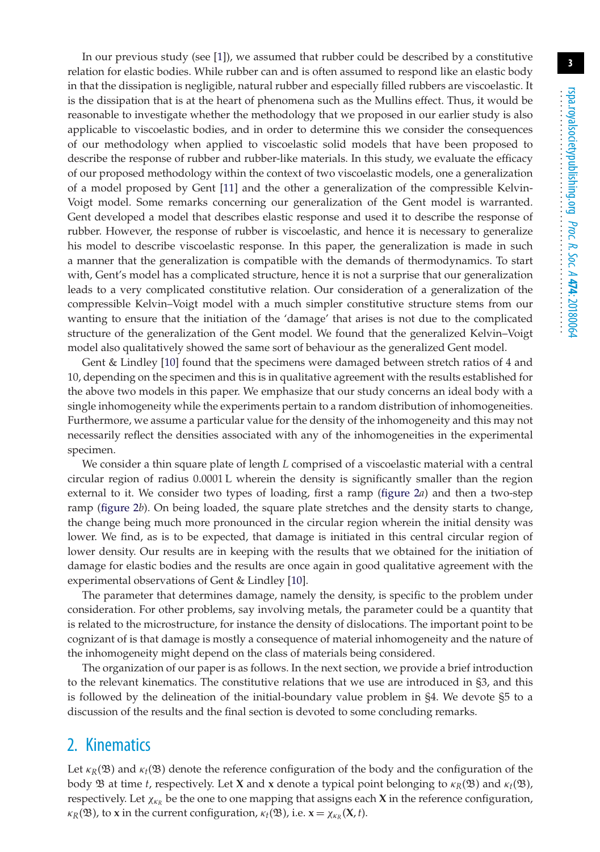In our previous study (see [\[1\]](#page-17-0)), we assumed that rubber could be described by a constitutive relation for elastic bodies. While rubber can and is often assumed to respond like an elastic body in that the dissipation is negligible, natural rubber and especially filled rubbers are viscoelastic. It is the dissipation that is at the heart of phenomena such as the Mullins effect. Thus, it would be reasonable to investigate whether the methodology that we proposed in our earlier study is also applicable to viscoelastic bodies, and in order to determine this we consider the consequences of our methodology when applied to viscoelastic solid models that have been proposed to describe the response of rubber and rubber-like materials. In this study, we evaluate the efficacy of our proposed methodology within the context of two viscoelastic models, one a generalization of a model proposed by Gent [\[11\]](#page-17-10) and the other a generalization of the compressible Kelvin-Voigt model. Some remarks concerning our generalization of the Gent model is warranted. Gent developed a model that describes elastic response and used it to describe the response of rubber. However, the response of rubber is viscoelastic, and hence it is necessary to generalize his model to describe viscoelastic response. In this paper, the generalization is made in such a manner that the generalization is compatible with the demands of thermodynamics. To start with, Gent's model has a complicated structure, hence it is not a surprise that our generalization leads to a very complicated constitutive relation. Our consideration of a generalization of the compressible Kelvin–Voigt model with a much simpler constitutive structure stems from our wanting to ensure that the initiation of the 'damage' that arises is not due to the complicated structure of the generalization of the Gent model. We found that the generalized Kelvin–Voigt model also qualitatively showed the same sort of behaviour as the generalized Gent model.

Gent & Lindley [\[10\]](#page-17-4) found that the specimens were damaged between stretch ratios of 4 and 10, depending on the specimen and this is in qualitative agreement with the results established for the above two models in this paper. We emphasize that our study concerns an ideal body with a single inhomogeneity while the experiments pertain to a random distribution of inhomogeneities. Furthermore, we assume a particular value for the density of the inhomogeneity and this may not necessarily reflect the densities associated with any of the inhomogeneities in the experimental specimen.

We consider a thin square plate of length *L* comprised of a viscoelastic material with a central circular region of radius 0.0001 L wherein the density is significantly smaller than the region external to it. We consider two types of loading, first a ramp [\(figure 2](#page-7-0)*a*) and then a two-step ramp [\(figure 2](#page-7-0)*b*). On being loaded, the square plate stretches and the density starts to change, the change being much more pronounced in the circular region wherein the initial density was lower. We find, as is to be expected, that damage is initiated in this central circular region of lower density. Our results are in keeping with the results that we obtained for the initiation of damage for elastic bodies and the results are once again in good qualitative agreement with the experimental observations of Gent & Lindley [\[10\]](#page-17-4).

The parameter that determines damage, namely the density, is specific to the problem under consideration. For other problems, say involving metals, the parameter could be a quantity that is related to the microstructure, for instance the density of dislocations. The important point to be cognizant of is that damage is mostly a consequence of material inhomogeneity and the nature of the inhomogeneity might depend on the class of materials being considered.

The organization of our paper is as follows. In the next section, we provide a brief introduction to the relevant kinematics. The constitutive relations that we use are introduced in §3, and this is followed by the delineation of the initial-boundary value problem in §4. We devote §5 to a discussion of the results and the final section is devoted to some concluding remarks.

### 2. Kinematics

Let  $\kappa_R(\mathfrak{B})$  and  $\kappa_t(\mathfrak{B})$  denote the reference configuration of the body and the configuration of the body  $\mathcal{B}$  at time *t*, respectively. Let **X** and **x** denote a typical point belonging to  $\kappa_R(\mathcal{B})$  and  $\kappa_t(\mathcal{B})$ , respectively. Let  $\chi_{\kappa}$  be the one to one mapping that assigns each **X** in the reference configuration,  $\kappa_R(\mathfrak{B})$ , to **x** in the current configuration,  $\kappa_t(\mathfrak{B})$ , i.e.  $\mathbf{x} = \chi_{\kappa_R}(\mathbf{X}, t)$ .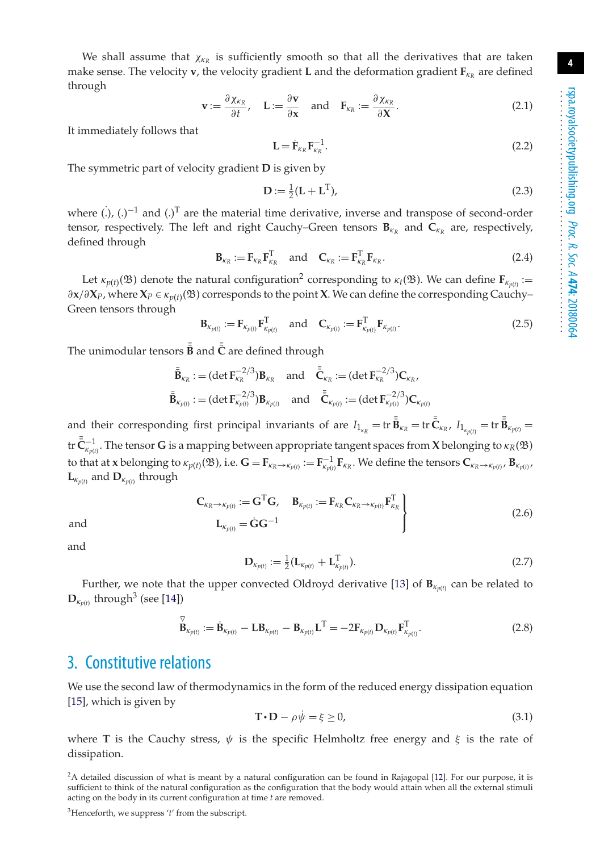We shall assume that  $\chi_{K_R}$  is sufficiently smooth so that all the derivatives that are taken make sense. The velocity **v**, the velocity gradient **L** and the deformation gradient  $\mathbf{F}_{K_p}$  are defined through

$$
\mathbf{v} := \frac{\partial \chi_{\kappa_R}}{\partial t}, \quad \mathbf{L} := \frac{\partial \mathbf{v}}{\partial \mathbf{x}} \quad \text{and} \quad \mathbf{F}_{\kappa_R} := \frac{\partial \chi_{\kappa_R}}{\partial \mathbf{X}}.
$$
 (2.1)

It immediately follows that

$$
\mathbf{L} = \dot{\mathbf{F}}_{\kappa_R} \mathbf{F}_{\kappa_R}^{-1}.
$$

The symmetric part of velocity gradient **D** is given by

$$
D := \frac{1}{2}(L + L^{T}),
$$
\n(2.3)

where  $(.)$ ,  $(.)^{-1}$  and  $(.)^{T}$  are the material time derivative, inverse and transpose of second-order tensor, respectively. The left and right Cauchy–Green tensors  $\mathbf{B}_{K_R}$  and  $\mathbf{C}_{K_R}$  are, respectively, defined through

$$
\mathbf{B}_{\kappa_R} := \mathbf{F}_{\kappa_R} \mathbf{F}_{\kappa_R}^{\mathrm{T}} \quad \text{and} \quad \mathbf{C}_{\kappa_R} := \mathbf{F}_{\kappa_R}^{\mathrm{T}} \mathbf{F}_{\kappa_R}.
$$
 (2.4)

Let  $\kappa_{p(t)}(\mathfrak{B})$  denote the natural configuration<sup>2</sup> corresponding to  $\kappa_t(\mathfrak{B})$ . We can define  $\mathbf{F}_{\kappa_{p(t)}} :=$ ∂**x**/∂**X***P*, where **X***<sup>P</sup>* ∈ κ*p*(*<sup>t</sup>*)(B) corresponds to the point **X**. We can define the corresponding Cauchy– Green tensors through

$$
\mathbf{B}_{\kappa_{p(t)}} := \mathbf{F}_{\kappa_{p(t)}} \mathbf{F}_{\kappa_{p(t)}}^{\mathrm{T}} \quad \text{and} \quad \mathbf{C}_{\kappa_{p(t)}} := \mathbf{F}_{\kappa_{p(t)}}^{\mathrm{T}} \mathbf{F}_{\kappa_{p(t)}}.
$$

The unimodular tensors  $\bar{B}$  and  $\bar{C}$  are defined through

$$
\bar{\bar{\mathbf{B}}}_{K_R} := (\det \mathbf{F}_{K_R}^{-2/3}) \mathbf{B}_{K_R} \text{ and } \bar{\bar{\mathbf{C}}}_{K_R} := (\det \mathbf{F}_{K_R}^{-2/3}) \mathbf{C}_{K_R},
$$
\n
$$
\bar{\bar{\mathbf{B}}}_{K_{p(t)}} := (\det \mathbf{F}_{K_{p(t)}}^{-2/3}) \mathbf{B}_{K_{p(t)}} \text{ and } \bar{\bar{\mathbf{C}}}_{K_{p(t)}} := (\det \mathbf{F}_{K_{p(t)}}^{-2/3}) \mathbf{C}_{K_{p(t)}}
$$

and their corresponding first principal invariants of are  $I_{1_{\kappa_R}} = \text{tr } \bar{\mathbf{B}}_{\kappa_R} = \text{tr } \bar{\mathbf{C}}_{\kappa_R}$ ,  $I_{1_{\kappa_{p(t)}}} = \text{tr } \bar{\mathbf{B}}_{\kappa_{p(t)}} =$  $tr \, \bar{\mathbf{C}}_{\kappa_{p(t)}}^{-1}$ . The tensor  $\mathbf G$  is a mapping between appropriate tangent spaces from  $\bm X$  belonging to  $\kappa_R(\mathfrak B)$ to that at x belonging to  $\kappa_{p(t)}(\mathfrak{B})$ , i.e.  $\mathbf{G} = \mathbf{F}_{\kappa_R \to \kappa_{p(t)}} := \mathbf{F}_{\kappa_{p(t)}}^{-1} \mathbf{F}_{\kappa_R}$ . We define the tensors  $\mathbf{C}_{\kappa_R \to \kappa_{p(t)}}$ ,  $\mathbf{B}_{\kappa_{p(t)}}$  $\mathbf{L}_{\kappa_{n(t)}}$  and  $\mathbf{D}_{\kappa_{n(t)}}$  through

$$
\begin{aligned}\n\mathbf{C}_{\kappa_R \to \kappa_{p(t)}} &:= \mathbf{G}^{\mathrm{T}} \mathbf{G}, \quad \mathbf{B}_{\kappa_{p(t)}} := \mathbf{F}_{\kappa_R} \mathbf{C}_{\kappa_R \to \kappa_{p(t)}} \mathbf{F}_{\kappa_R}^{\mathrm{T}} \\
\mathbf{L}_{\kappa_{p(t)}} &= \dot{\mathbf{G}} \mathbf{G}^{-1}\n\end{aligned} \tag{2.6}
$$

and

$$
\mathbf{D}_{\kappa_{p(t)}} := \frac{1}{2} (\mathbf{L}_{\kappa_{p(t)}} + \mathbf{L}_{\kappa_{p(t)}}^{\mathrm{T}}). \tag{2.7}
$$

Further, we note that the upper convected Oldroyd derivative [\[13\]](#page-17-11) of  $\mathbf{B}_{K_{p(t)}}$  can be related to  $D_{K_n(t)}$  through<sup>3</sup> (see [\[14\]](#page-17-12))

$$
\overline{\mathbf{B}}_{\kappa_{p(t)}} := \dot{\mathbf{B}}_{\kappa_{p(t)}} - \mathbf{L} \mathbf{B}_{\kappa_{p(t)}} - \mathbf{B}_{\kappa_{p(t)}} \mathbf{L}^{\mathrm{T}} = -2 \mathbf{F}_{\kappa_{p(t)}} \mathbf{D}_{\kappa_{p(t)}} \mathbf{F}_{\kappa_{p(t)}}^{\mathrm{T}}.
$$
\n(2.8)

### 3. Constitutive relations

We use the second law of thermodynamics in the form of the reduced energy dissipation equation [\[15\]](#page-17-13), which is given by

$$
\mathbf{T} \cdot \mathbf{D} - \rho \psi = \xi \ge 0,\tag{3.1}
$$

where **T** is the Cauchy stress,  $\psi$  is the specific Helmholtz free energy and  $\xi$  is the rate of dissipation.

<sup>&</sup>lt;sup>2</sup>A detailed discussion of what is meant by a natural configuration can be found in Rajagopal [\[12\]](#page-17-14). For our purpose, it is sufficient to think of the natural configuration as the configuration that the body would attain when all the external stimuli acting on the body in its current configuration at time *t* are removed.

<sup>3</sup>Henceforth, we suppress '*t*' from the subscript.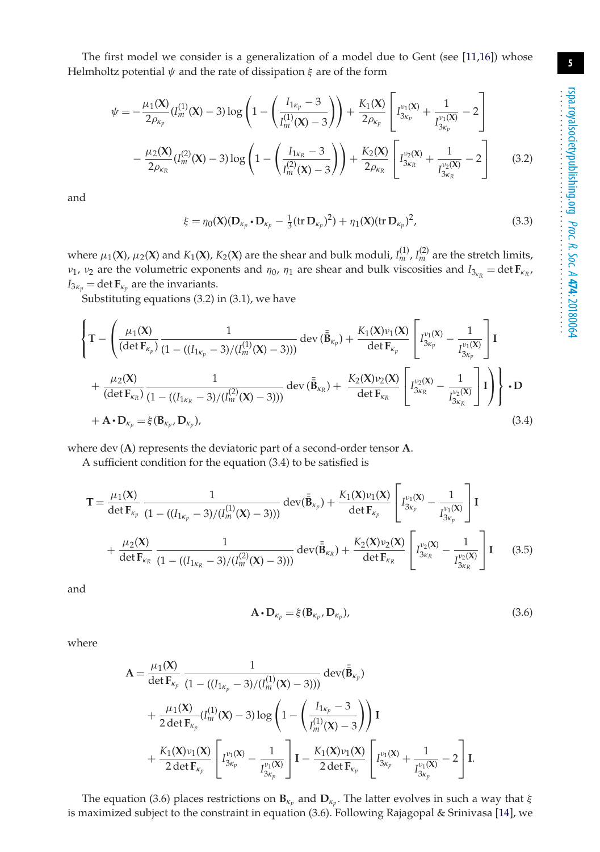The first model we consider is a generalization of a model due to Gent (see [\[11](#page-17-10)[,16\]](#page-17-15)) whose Helmholtz potential  $\psi$  and the rate of dissipation  $\xi$  are of the form

$$
\psi = -\frac{\mu_1(\mathbf{X})}{2\rho_{\kappa_p}} (I_m^{(1)}(\mathbf{X}) - 3) \log \left( 1 - \left( \frac{I_{1\kappa_p} - 3}{I_m^{(1)}(\mathbf{X}) - 3} \right) \right) + \frac{K_1(\mathbf{X})}{2\rho_{\kappa_p}} \left[ I_{3\kappa_p}^{\nu_1(\mathbf{X})} + \frac{1}{I_{3\kappa_p}^{\nu_1(\mathbf{X})}} - 2 \right]
$$

$$
- \frac{\mu_2(\mathbf{X})}{2\rho_{\kappa_R}} (I_m^{(2)}(\mathbf{X}) - 3) \log \left( 1 - \left( \frac{I_{1\kappa_R} - 3}{I_m^{(2)}(\mathbf{X}) - 3} \right) \right) + \frac{K_2(\mathbf{X})}{2\rho_{\kappa_R}} \left[ I_{3\kappa_R}^{\nu_2(\mathbf{X})} + \frac{1}{I_{3\kappa_R}^{\nu_2(\mathbf{X})}} - 2 \right] \tag{3.2}
$$

and

$$
\xi = \eta_0(\mathbf{X})(\mathbf{D}_{\kappa_p} \cdot \mathbf{D}_{\kappa_p} - \frac{1}{3} (\text{tr } \mathbf{D}_{\kappa_p})^2) + \eta_1(\mathbf{X})(\text{tr } \mathbf{D}_{\kappa_p})^2, \tag{3.3}
$$

where  $\mu_1(X)$ ,  $\mu_2(X)$  and  $K_1(X)$ ,  $K_2(X)$  are the shear and bulk moduli,  $I_m^{(1)}$ ,  $I_m^{(2)}$  are the stretch limits,  $ν_1$ ,  $ν_2$  are the volumetric exponents and  $η_0$ ,  $η_1$  are shear and bulk viscosities and  $I_{3\kappa_R} = \det F_{\kappa_R}$ ,  $I_{3\kappa_p} = \det \mathbf{F}_{\kappa_p}$  are the invariants.

Substituting equations (3.2) in (3.1), we have

$$
\left\{\mathbf{T} - \left(\frac{\mu_1(\mathbf{X})}{(\det \mathbf{F}_{k_p})}\frac{1}{(1 - ((I_{1k_p} - 3)/(I_m^{(1)}(\mathbf{X}) - 3)))}\det(\bar{\mathbf{B}}_{k_p}) + \frac{K_1(\mathbf{X})\nu_1(\mathbf{X})}{\det \mathbf{F}_{k_p}}\left[\mathbf{I}_{3k_p}^{\nu_1(\mathbf{X})} - \frac{1}{I_{3k_p}^{\nu_1(\mathbf{X})}}\right]\mathbf{I} + \frac{\mu_2(\mathbf{X})}{(\det \mathbf{F}_{k_R})}\frac{1}{(1 - ((I_{1k_R} - 3)/(I_m^{(2)}(\mathbf{X}) - 3)))}\det(\bar{\mathbf{B}}_{k_R}) + \frac{K_2(\mathbf{X})\nu_2(\mathbf{X})}{\det \mathbf{F}_{k_R}}\left[\mathbf{I}_{3k_R}^{\nu_2(\mathbf{X})} - \frac{1}{I_{3k_R}^{\nu_2(\mathbf{X})}}\right]\mathbf{I}\right)\right\}\cdot\mathbf{D} + \mathbf{A}\cdot\mathbf{D}_{k_p} = \xi(\mathbf{B}_{k_p}, \mathbf{D}_{k_p}),
$$
\n(3.4)

where dev (**A**) represents the deviatoric part of a second-order tensor **A**.

A sufficient condition for the equation (3.4) to be satisfied is

$$
\mathbf{T} = \frac{\mu_1(\mathbf{X})}{\det \mathbf{F}_{\kappa_p}} \frac{1}{(1 - ((I_{1\kappa_p} - 3)/(I_m^{(1)}(\mathbf{X}) - 3)))} \operatorname{dev}(\bar{\mathbf{B}}_{\kappa_p}) + \frac{K_1(\mathbf{X})\nu_1(\mathbf{X})}{\det \mathbf{F}_{\kappa_p}} \left[ I_{3\kappa_p}^{\nu_1(\mathbf{X})} - \frac{1}{I_{3\kappa_p}^{\nu_1(\mathbf{X})}} \right] \mathbf{I} + \frac{\mu_2(\mathbf{X})}{\det \mathbf{F}_{\kappa_R}} \frac{1}{(1 - ((I_{1\kappa_R} - 3)/(I_m^{(2)}(\mathbf{X}) - 3)))} \operatorname{dev}(\bar{\mathbf{B}}_{\kappa_R}) + \frac{K_2(\mathbf{X})\nu_2(\mathbf{X})}{\det \mathbf{F}_{\kappa_R}} \left[ I_{3\kappa_R}^{\nu_2(\mathbf{X})} - \frac{1}{I_{3\kappa_R}^{\nu_2(\mathbf{X})}} \right] \mathbf{I}
$$
(3.5)

and

$$
\mathbf{A} \cdot \mathbf{D}_{\kappa_p} = \xi(\mathbf{B}_{\kappa_p}, \mathbf{D}_{\kappa_p}),
$$
\n(3.6)

where

$$
A = \frac{\mu_1(X)}{\det F_{\kappa_p}} \frac{1}{(1 - ((I_{1\kappa_p} - 3)/(I_m^{(1)}(X) - 3)))} \det(\bar{B}_{\kappa_p})
$$
  
+ 
$$
\frac{\mu_1(X)}{2 \det F_{\kappa_p}} (I_m^{(1)}(X) - 3) \log \left(1 - \left(\frac{I_{1\kappa_p} - 3}{I_m^{(1)}(X) - 3}\right)\right) I
$$
  
+ 
$$
\frac{K_1(X)\nu_1(X)}{2 \det F_{\kappa_p}} \left[ I_{3\kappa_p}^{\nu_1(X)} - \frac{1}{I_{3\kappa_p}^{\nu_1(X)}} \right] I - \frac{K_1(X)\nu_1(X)}{2 \det F_{\kappa_p}} \left[ I_{3\kappa_p}^{\nu_1(X)} + \frac{1}{I_{3\kappa_p}^{\nu_1(X)}} - 2 \right] I.
$$

The equation (3.6) places restrictions on  $\mathbf{B}_{K_p}$  and  $\mathbf{D}_{K_p}$ . The latter evolves in such a way that  $\xi$ is maximized subject to the constraint in equation (3.6). Following Rajagopal & Srinivasa [\[14\]](#page-17-12), we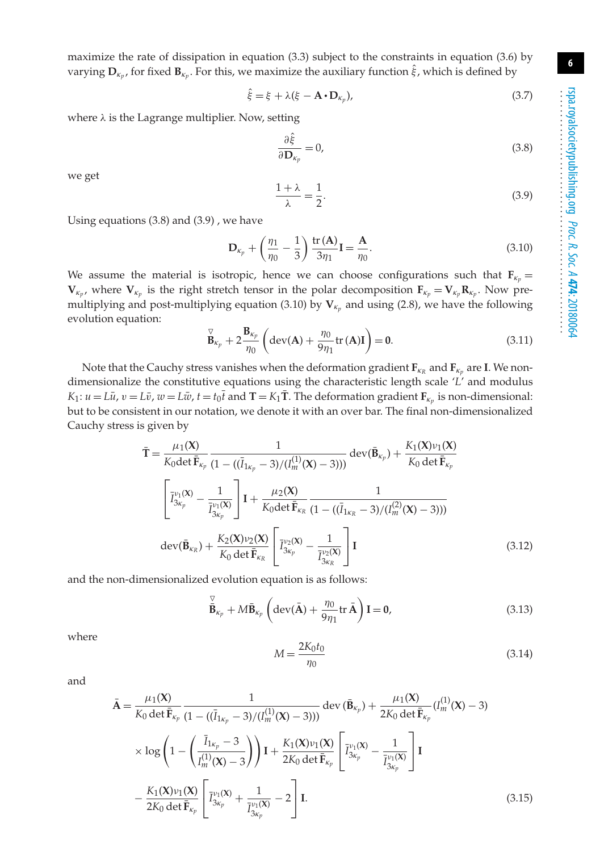maximize the rate of dissipation in equation (3.3) subject to the constraints in equation (3.6) by varying  $D_{\kappa_p}$ , for fixed  $B_{\kappa_p}$ . For this, we maximize the auxiliary function  $\hat{\xi}$ , which is defined by

$$
\hat{\xi} = \xi + \lambda (\xi - \mathbf{A} \cdot \mathbf{D}_{\kappa_p}), \tag{3.7}
$$

where  $\lambda$  is the Lagrange multiplier. Now, setting

$$
\frac{\partial \hat{\xi}}{\partial \mathbf{D}_{\kappa_p}} = 0,\tag{3.8}
$$

we get

$$
\frac{1+\lambda}{\lambda} = \frac{1}{2}.\tag{3.9}
$$

Using equations (3.8) and (3.9) , we have

$$
\mathbf{D}_{\kappa_p} + \left(\frac{\eta_1}{\eta_0} - \frac{1}{3}\right) \frac{\text{tr}\left(\mathbf{A}\right)}{3\eta_1} \mathbf{I} = \frac{\mathbf{A}}{\eta_0}.\tag{3.10}
$$

We assume the material is isotropic, hence we can choose configurations such that  $\mathbf{F}_{k_p} =$ **V**<sub>κ*p*</sub>, where  $V_{K_p}$  is the right stretch tensor in the polar decomposition  $F_{K_p} = V_{K_p} R_{K_p}$ . Now premultiplying and post-multiplying equation (3.10) by  $V_{\kappa_p}$  and using (2.8), we have the following evolution equation:

$$
\mathbf{B}_{\kappa_p} + 2 \frac{\mathbf{B}_{\kappa_p}}{\eta_0} \left( \text{dev}(\mathbf{A}) + \frac{\eta_0}{9\eta_1} \text{tr}(\mathbf{A}) \mathbf{I} \right) = \mathbf{0}.
$$
 (3.11)

Note that the Cauchy stress vanishes when the deformation gradient  $\mathbf{F}_{K_R}$  and  $\mathbf{F}_{K_p}$  are I. We nondimensionalize the constitutive equations using the characteristic length scale '*L*' and modulus  $K_1: u = L\bar{u}$ ,  $v = L\bar{v}$ ,  $w = L\bar{w}$ ,  $t = t_0\bar{t}$  and  $T = K_1\bar{T}$ . The deformation gradient  $\mathbf{F}_{K_n}$  is non-dimensional: but to be consistent in our notation, we denote it with an over bar. The final non-dimensionalized Cauchy stress is given by

$$
\bar{\mathbf{T}} = \frac{\mu_1(\mathbf{X})}{K_0 \det \bar{\mathbf{F}}_{\kappa_p}} \frac{1}{(1 - ((\bar{I}_{1\kappa_p} - 3)/(I_m^{(1)}(\mathbf{X}) - 3)))} \det(\bar{\mathbf{B}}_{\kappa_p}) + \frac{K_1(\mathbf{X}) \nu_1(\mathbf{X})}{K_0 \det \bar{\mathbf{F}}_{\kappa_p}} \n\left[ \bar{I}_{3\kappa_p}^{\nu_1(\mathbf{X})} - \frac{1}{\bar{I}_{3\kappa_p}^{\nu_1(\mathbf{X})}} \right] \mathbf{I} + \frac{\mu_2(\mathbf{X})}{K_0 \det \bar{\mathbf{F}}_{\kappa_R}} \frac{1}{(1 - ((\bar{I}_{1\kappa_R} - 3)/(I_m^{(2)}(\mathbf{X}) - 3)))} \n\det(\bar{\mathbf{B}}_{\kappa_R}) + \frac{K_2(\mathbf{X}) \nu_2(\mathbf{X})}{K_0 \det \bar{\mathbf{F}}_{\kappa_R}} \left[ \bar{I}_{3\kappa_p}^{\nu_2(\mathbf{X})} - \frac{1}{\bar{I}_{3\kappa_R}^{\nu_2(\mathbf{X})}} \right] \mathbf{I}
$$
\n(3.12)

and the non-dimensionalized evolution equation is as follows:

$$
\overline{\mathbf{\tilde{B}}}_{\kappa_p} + M \overline{\mathbf{\tilde{B}}}_{\kappa_p} \left( \text{dev}(\overline{\mathbf{A}}) + \frac{\eta_0}{9\eta_1} \text{tr } \overline{\mathbf{A}} \right) \mathbf{I} = \mathbf{0}, \tag{3.13}
$$

where

$$
M = \frac{2K_0 t_0}{\eta_0} \tag{3.14}
$$

and

$$
\bar{\mathbf{A}} = \frac{\mu_1(\mathbf{X})}{K_0 \det \bar{\mathbf{F}}_{\kappa_p}} \frac{1}{(1 - ((\bar{I}_{1\kappa_p} - 3)/(I_m^{(1)}(\mathbf{X}) - 3)))} \det(\bar{\mathbf{B}}_{\kappa_p}) + \frac{\mu_1(\mathbf{X})}{2K_0 \det \bar{\mathbf{F}}_{\kappa_p}} (I_m^{(1)}(\mathbf{X}) - 3)
$$
\n
$$
\times \log \left( 1 - \left( \frac{\bar{I}_{1\kappa_p} - 3}{I_m^{(1)}(\mathbf{X}) - 3} \right) \right) \mathbf{I} + \frac{K_1(\mathbf{X}) \nu_1(\mathbf{X})}{2K_0 \det \bar{\mathbf{F}}_{\kappa_p}} \left[ \bar{I}_{3\kappa_p}^{\nu_1(\mathbf{X})} - \frac{1}{\bar{I}_{3\kappa_p}^{\nu_1(\mathbf{X})}} \right] \mathbf{I}
$$
\n
$$
- \frac{K_1(\mathbf{X}) \nu_1(\mathbf{X})}{2K_0 \det \bar{\mathbf{F}}_{\kappa_p}} \left[ \bar{I}_{3\kappa_p}^{\nu_1(\mathbf{X})} + \frac{1}{\bar{I}_{3\kappa_p}^{\nu_1(\mathbf{X})}} - 2 \right] \mathbf{I}. \tag{3.15}
$$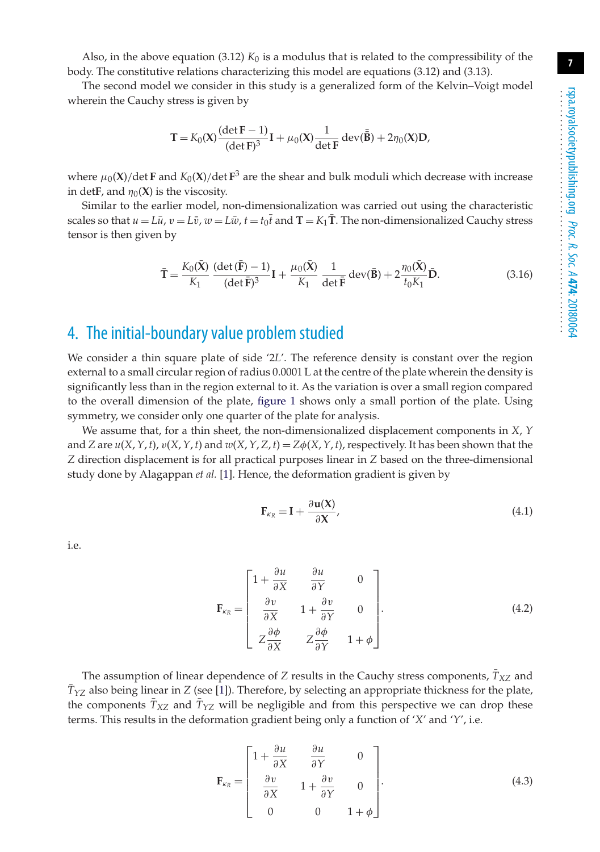Also, in the above equation  $(3.12) K<sub>0</sub>$  is a modulus that is related to the compressibility of the body. The constitutive relations characterizing this model are equations (3.12) and (3.13).

The second model we consider in this study is a generalized form of the Kelvin–Voigt model wherein the Cauchy stress is given by

$$
\mathbf{T} = K_0(\mathbf{X}) \frac{(\det \mathbf{F} - 1)}{(\det \mathbf{F})^3} \mathbf{I} + \mu_0(\mathbf{X}) \frac{1}{\det \mathbf{F}} \operatorname{dev}(\bar{\mathbf{B}}) + 2\eta_0(\mathbf{X}) \mathbf{D},
$$

where  $\mu_0(\mathbf{X})$ /det **F** and  $K_0(\mathbf{X})$ /det **F**<sup>3</sup> are the shear and bulk moduli which decrease with increase in det**F**, and  $\eta_0(\mathbf{X})$  is the viscosity.

Similar to the earlier model, non-dimensionalization was carried out using the characteristic scales so that  $u = L\bar{u}$ ,  $v = L\bar{v}$ ,  $w = L\bar{w}$ ,  $t = t_0\bar{t}$  and  $T = K_1\bar{T}$ . The non-dimensionalized Cauchy stress tensor is then given by

$$
\bar{\mathbf{T}} = \frac{K_0(\bar{\mathbf{X}})}{K_1} \frac{(\det(\bar{\mathbf{F}}) - 1)}{(\det \bar{\mathbf{F}})^3} \mathbf{I} + \frac{\mu_0(\bar{\mathbf{X}})}{K_1} \frac{1}{\det \bar{\mathbf{F}}} \det(\bar{\mathbf{B}}) + 2 \frac{\eta_0(\bar{\mathbf{X}})}{t_0 K_1} \bar{\mathbf{D}}.
$$
 (3.16)

### 4. The initial-boundary value problem studied

We consider a thin square plate of side '2*L*'. The reference density is constant over the region external to a small circular region of radius 0.0001 L at the centre of the plate wherein the density is significantly less than in the region external to it. As the variation is over a small region compared to the overall dimension of the plate, [figure 1](#page-7-1) shows only a small portion of the plate. Using symmetry, we consider only one quarter of the plate for analysis.

We assume that, for a thin sheet, the non-dimensionalized displacement components in *X*, *Y* and *Z* are  $u(X, Y, t)$ ,  $v(X, Y, t)$  and  $w(X, Y, Z, t) = Z\phi(X, Y, t)$ , respectively. It has been shown that the *Z* direction displacement is for all practical purposes linear in *Z* based on the three-dimensional study done by Alagappan *et al.* [\[1\]](#page-17-0). Hence, the deformation gradient is given by

$$
\mathbf{F}_{\kappa_R} = \mathbf{I} + \frac{\partial \mathbf{u}(\mathbf{X})}{\partial \mathbf{X}},\tag{4.1}
$$

i.e.

$$
\mathbf{F}_{\kappa_R} = \begin{bmatrix} 1 + \frac{\partial u}{\partial X} & \frac{\partial u}{\partial Y} & 0 \\ \frac{\partial v}{\partial X} & 1 + \frac{\partial v}{\partial Y} & 0 \\ Z \frac{\partial \phi}{\partial X} & Z \frac{\partial \phi}{\partial Y} & 1 + \phi \end{bmatrix} .
$$
 (4.2)

The assumption of linear dependence of *Z* results in the Cauchy stress components,  $\bar{T}_{XZ}$  and  $\bar{T}_{YZ}$  also being linear in *Z* (see [\[1\]](#page-17-0)). Therefore, by selecting an appropriate thickness for the plate, the components  $\bar{T}_{XZ}$  and  $\bar{T}_{YZ}$  will be negligible and from this perspective we can drop these terms. This results in the deformation gradient being only a function of '*X*' and '*Y*', i.e.

∂*u*

$$
\mathbf{F}_{\kappa_R} = \begin{bmatrix} 1 + \frac{\partial u}{\partial X} & \frac{\partial u}{\partial Y} & 0 \\ \frac{\partial v}{\partial X} & 1 + \frac{\partial v}{\partial Y} & 0 \\ 0 & 0 & 1 + \phi \end{bmatrix} .
$$
 (4.3)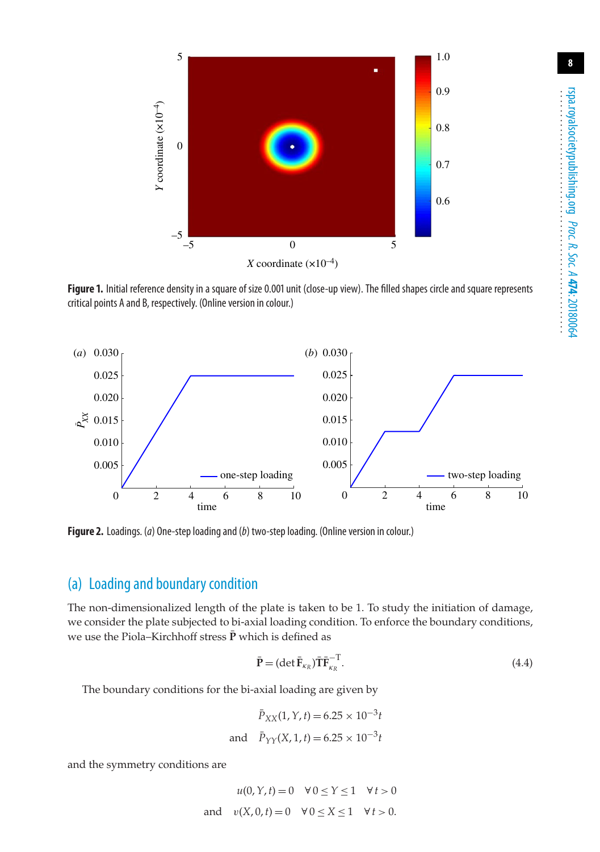<span id="page-7-1"></span>

**Figure 1.** Initial reference density in a square of size 0.001 unit (close-up view). The filled shapes circle and square represents critical points A and B, respectively. (Online version in colour.)

<span id="page-7-0"></span>

**Figure 2.** Loadings. (*a*) One-step loading and (*b*) two-step loading. (Online version in colour.)

#### (a) Loading and boundary condition

The non-dimensionalized length of the plate is taken to be 1. To study the initiation of damage, we consider the plate subjected to bi-axial loading condition. To enforce the boundary conditions, we use the Piola–Kirchhoff stress  $\bar{P}$  which is defined as

$$
\bar{\mathbf{P}} = (\det \bar{\mathbf{F}}_{\kappa_R}) \bar{\mathbf{T}} \bar{\mathbf{F}}_{\kappa_R}^{-T}.
$$
\n(4.4)

The boundary conditions for the bi-axial loading are given by

$$
\bar{P}_{XX}(1, Y, t) = 6.25 \times 10^{-3} t
$$
  
and 
$$
\bar{P}_{YY}(X, 1, t) = 6.25 \times 10^{-3} t
$$

and the symmetry conditions are

$$
u(0, Y, t) = 0 \quad \forall 0 \le Y \le 1 \quad \forall t > 0
$$
  
and 
$$
v(X, 0, t) = 0 \quad \forall 0 \le X \le 1 \quad \forall t > 0.
$$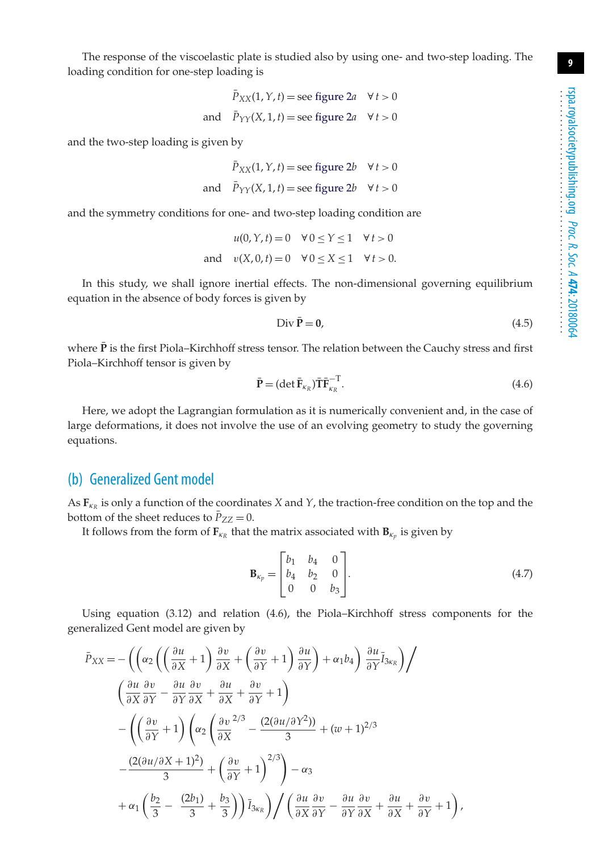The response of the viscoelastic plate is studied also by using one- and two-step loading. The loading condition for one-step loading is

$$
P_{XX}(1, Y, t) = \text{see figure 2a} \quad \forall t > 0
$$
  
and 
$$
\bar{P}_{YY}(X, 1, t) = \text{see figure 2a} \quad \forall t > 0
$$

and the two-step loading is given by

 $\overline{P}_{XX}(1, Y, t)$  = see [figure 2](#page-7-0)*b*  $\forall t > 0$ 

and 
$$
\bar{P}_{YY}(X, 1, t) =
$$
see figure 2b  $\forall t > 0$ 

and the symmetry conditions for one- and two-step loading condition are

$$
u(0, Y, t) = 0 \quad \forall 0 \le Y \le 1 \quad \forall t > 0
$$
  
and 
$$
v(X, 0, t) = 0 \quad \forall 0 \le X \le 1 \quad \forall t > 0.
$$

In this study, we shall ignore inertial effects. The non-dimensional governing equilibrium equation in the absence of body forces is given by

$$
\text{Div }\bar{\mathbf{P}} = \mathbf{0},\tag{4.5}
$$

where  $\bar{P}$  is the first Piola–Kirchhoff stress tensor. The relation between the Cauchy stress and first Piola–Kirchhoff tensor is given by

$$
\bar{\mathbf{P}} = (\det \bar{\mathbf{F}}_{\kappa_R}) \bar{\mathbf{T}} \bar{\mathbf{F}}_{\kappa_R}^{-T}.
$$
\n(4.6)

Here, we adopt the Lagrangian formulation as it is numerically convenient and, in the case of large deformations, it does not involve the use of an evolving geometry to study the governing equations.

#### (b) Generalized Gent model

As  $\mathbf{F}_{\kappa_R}$  is only a function of the coordinates *X* and *Y*, the traction-free condition on the top and the bottom of the sheet reduces to  $\bar{P}_{ZZ} = 0$ .

It follows from the form of  $\mathbf{F}_{K_R}$  that the matrix associated with  $\mathbf{B}_{K_p}$  is given by

$$
\mathbf{B}_{\kappa_p} = \begin{bmatrix} b_1 & b_4 & 0 \\ b_4 & b_2 & 0 \\ 0 & 0 & b_3 \end{bmatrix} . \tag{4.7}
$$

Using equation (3.12) and relation (4.6), the Piola–Kirchhoff stress components for the generalized Gent model are given by

$$
\bar{P}_{XX} = -\left( \left( \alpha_2 \left( \left( \frac{\partial u}{\partial X} + 1 \right) \frac{\partial v}{\partial X} + \left( \frac{\partial v}{\partial Y} + 1 \right) \frac{\partial u}{\partial Y} \right) + \alpha_1 b_4 \right) \frac{\partial u}{\partial Y} \bar{I}_{3\kappa_R} \right) \Big/
$$
\n
$$
\left( \frac{\partial u}{\partial X} \frac{\partial v}{\partial Y} - \frac{\partial u}{\partial Y} \frac{\partial v}{\partial X} + \frac{\partial u}{\partial X} + \frac{\partial v}{\partial Y} + 1 \right)
$$
\n
$$
- \left( \left( \frac{\partial v}{\partial Y} + 1 \right) \left( \alpha_2 \left( \frac{\partial v}{\partial X} \right)^{2/3} - \frac{(2(\partial u/\partial Y^2))}{3} + (w + 1)^{2/3} \right) \right. \left. - \frac{(2(\partial u/\partial X + 1)^2)}{3} + \left( \frac{\partial v}{\partial Y} + 1 \right)^{2/3} \right) - \alpha_3
$$
\n
$$
+ \alpha_1 \left( \frac{b_2}{3} - \frac{(2b_1)}{3} + \frac{b_3}{3} \right) \left[ \bar{I}_{3\kappa_R} \right) \Big/ \left( \frac{\partial u}{\partial X} \frac{\partial v}{\partial Y} - \frac{\partial u}{\partial Y} \frac{\partial v}{\partial X} + \frac{\partial u}{\partial X} + \frac{\partial v}{\partial Y} + 1 \right),
$$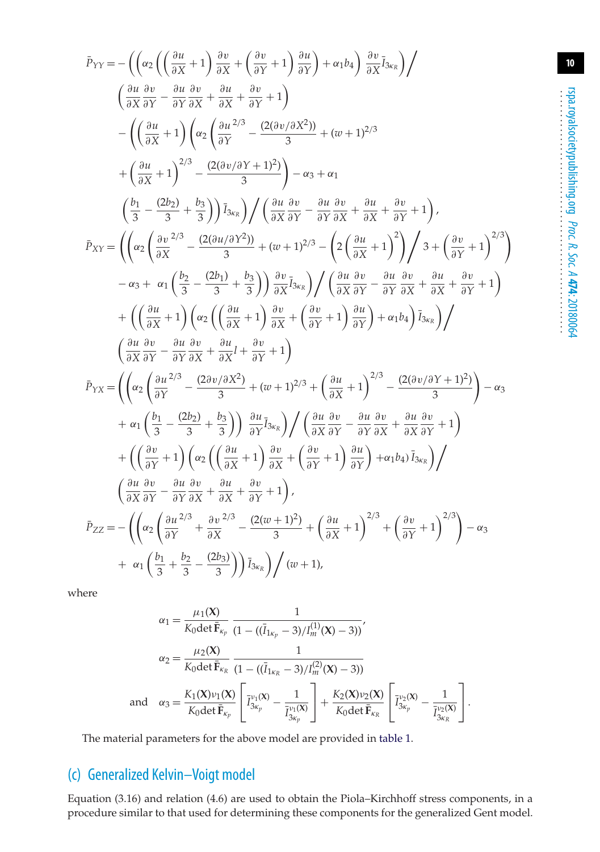**10**

$$
\bar{P}_{YY} = -\left(\left(\alpha_{2}\left(\left(\frac{\partial u}{\partial X} + 1\right)\frac{\partial v}{\partial X} + \left(\frac{\partial v}{\partial Y} + 1\right)\frac{\partial u}{\partial Y}\right) + \alpha_{1}b_{4}\right)\frac{\partial v}{\partial X}\overline{I}_{3\kappa_{R}}\right)\right/ \n\left(\frac{\partial u}{\partial X}\frac{\partial v}{\partial Y} - \frac{\partial u}{\partial Y}\frac{\partial v}{\partial X} + \frac{\partial u}{\partial X} + \frac{\partial v}{\partial Y} + 1\right) \n- \left(\left(\frac{\partial u}{\partial X} + 1\right)\left(\alpha_{2}\left(\frac{\partial u}{\partial Y} - \frac{(2(\partial v/\partial X^{2}))}{3} + (w + 1)^{2/3} + \left(\frac{\partial u}{\partial X} + 1\right)^{2/3} - \frac{(2(\partial v/\partial Y + 1)^{2})}{3}\right)\right) - \alpha_{3} + \alpha_{1} \n\left(\frac{b_{1}}{3} - \frac{(2b_{2})}{3} + \frac{b_{3}}{3}\right)\right)\overline{I}_{3\kappa_{R}}\right)/\left(\frac{\partial u}{\partial X}\frac{\partial v}{\partial Y} - \frac{\partial u}{\partial Y}\frac{\partial v}{\partial X} + \frac{\partial u}{\partial X} + \frac{\partial v}{\partial Y} + 1\right),
$$
\n
$$
\bar{P}_{XY} = \left(\left(\alpha_{2}\left(\frac{\partial v}{\partial X} - \frac{(2(\partial u/\partial Y^{2}))}{3} + (w + 1)^{2/3} - \left(2\left(\frac{\partial u}{\partial X} + 1\right)^{2}\right)\right)\right)\left(3 + \left(\frac{\partial v}{\partial Y} + 1\right)^{2/3}\right) - \alpha_{3} + \alpha_{1}\left(\frac{b_{2}}{3} - \frac{(2b_{1})}{3} + \frac{b_{3}}{3}\right)\right)\frac{\partial v}{\partial X}\overline{I}_{3\kappa_{R}}\right)/\left(\frac{\partial u}{\partial X}\frac{\partial v}{\partial Y} - \frac{\partial u}{\partial Y}\frac{\partial v}{\partial X} + \frac{\partial u}{\partial X} + \frac{\partial v}{\partial Y} + 1\right) \n+ \left(\left(\frac{\partial u}{\partial X} + 1\right)\left(\alpha_{2}\left(\left(\frac{\partial u}{\partial X}
$$

where

$$
\alpha_1 = \frac{\mu_1(\mathbf{X})}{K_0 \det \bar{\mathbf{F}}_{\kappa_p}} \frac{1}{(1 - ((\bar{I}_{1\kappa_p} - 3)/I_m^{(1)}(\mathbf{X}) - 3))},
$$
\n
$$
\alpha_2 = \frac{\mu_2(\mathbf{X})}{K_0 \det \bar{\mathbf{F}}_{\kappa_R}} \frac{1}{(1 - ((\bar{I}_{1\kappa_R} - 3)/I_m^{(2)}(\mathbf{X}) - 3))}
$$
\nand\n
$$
\alpha_3 = \frac{K_1(\mathbf{X}) \nu_1(\mathbf{X})}{K_0 \det \bar{\mathbf{F}}_{\kappa_p}} \left[ \bar{I}_{3\kappa_p}^{v_1(\mathbf{X})} - \frac{1}{\bar{I}_{3\kappa_p}^{v_1(\mathbf{X})}} \right] + \frac{K_2(\mathbf{X}) \nu_2(\mathbf{X})}{K_0 \det \bar{\mathbf{F}}_{\kappa_R}} \left[ \bar{I}_{3\kappa_p}^{v_2(\mathbf{X})} - \frac{1}{\bar{I}_{3\kappa_R}^{v_2(\mathbf{X})}} \right].
$$

The material parameters for the above model are provided in [table 1.](#page-10-0)

### (c) Generalized Kelvin–Voigt model

Equation (3.16) and relation (4.6) are used to obtain the Piola–Kirchhoff stress components, in a procedure similar to that used for determining these components for the generalized Gent model.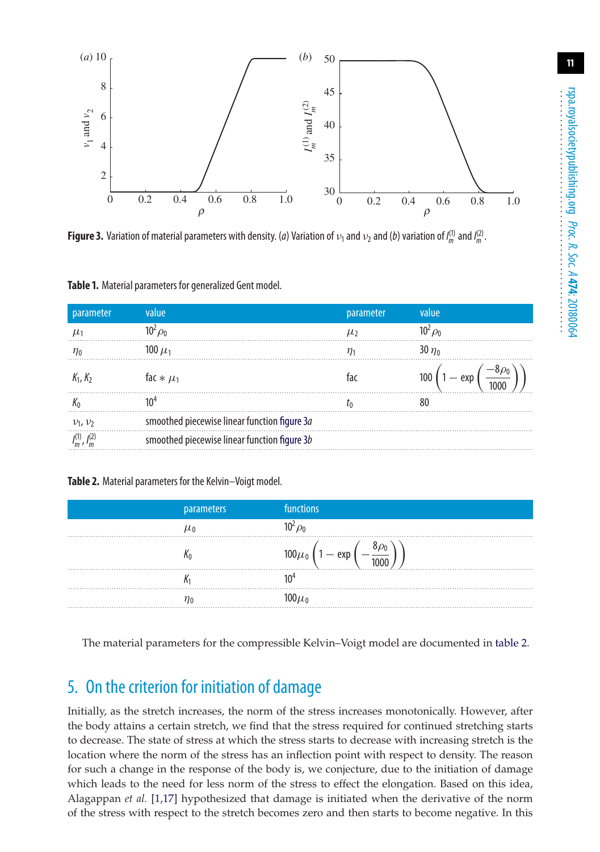**11**

<span id="page-10-1"></span>

**Figure 3.** Variation of material parameters with density. (*a*) Variation of  $v_1$  and  $v_2$  and (*b*) variation of  $I_m^{(1)}$  and  $I_m^{(2)}$ .

| parameter              | value                                        | parameter | value                                                         |
|------------------------|----------------------------------------------|-----------|---------------------------------------------------------------|
|                        | $10^{2} \rho_0$                              | $\mu$     | $10^2 \rho_0$                                                 |
| η                      | 100 $\mu_1$                                  |           | 30 $n_0$                                                      |
| $K_1, K_2$             | fac $*\mu_1$                                 | tac       | 100 $\left(1 - \exp\left(\frac{-8\rho_0}{1000}\right)\right)$ |
| K٥                     |                                              |           |                                                               |
| $\nu_1, \nu_2$         | smoothed piecewise linear function figure 3a |           |                                                               |
| $I_m^{(1)}, I_m^{(2)}$ | smoothed piecewise linear function figure 3b |           |                                                               |

<span id="page-10-0"></span>**Table 1.** Material parameters for generalized Gent model.

<span id="page-10-2"></span>**Table 2.** Material parameters for the Kelvin–Voigt model.



The material parameters for the compressible Kelvin–Voigt model are documented in [table 2.](#page-10-2)

# 5. On the criterion for initiation of damage

Initially, as the stretch increases, the norm of the stress increases monotonically. However, after the body attains a certain stretch, we find that the stress required for continued stretching starts to decrease. The state of stress at which the stress starts to decrease with increasing stretch is the location where the norm of the stress has an inflection point with respect to density. The reason for such a change in the response of the body is, we conjecture, due to the initiation of damage which leads to the need for less norm of the stress to effect the elongation. Based on this idea, Alagappan *et al.* [\[1,](#page-17-0)[17\]](#page-17-16) hypothesized that damage is initiated when the derivative of the norm of the stress with respect to the stretch becomes zero and then starts to become negative. In this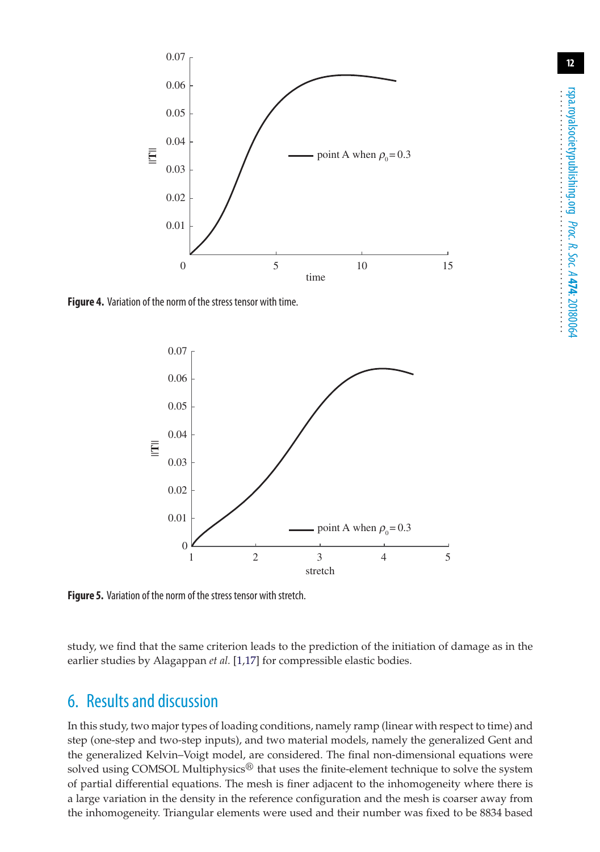<span id="page-11-0"></span>

<span id="page-11-1"></span>**Figure 4.** Variation of the norm of the stress tensor with time.



**Figure 5.** Variation of the norm of the stress tensor with stretch.

study, we find that the same criterion leads to the prediction of the initiation of damage as in the earlier studies by Alagappan *et al.* [\[1,](#page-17-0)[17\]](#page-17-16) for compressible elastic bodies.

### 6. Results and discussion

In this study, two major types of loading conditions, namely ramp (linear with respect to time) and step (one-step and two-step inputs), and two material models, namely the generalized Gent and the generalized Kelvin–Voigt model, are considered. The final non-dimensional equations were solved using COMSOL Multiphysics $\mathcal{F}$  that uses the finite-element technique to solve the system of partial differential equations. The mesh is finer adjacent to the inhomogeneity where there is a large variation in the density in the reference configuration and the mesh is coarser away from the inhomogeneity. Triangular elements were used and their number was fixed to be 8834 based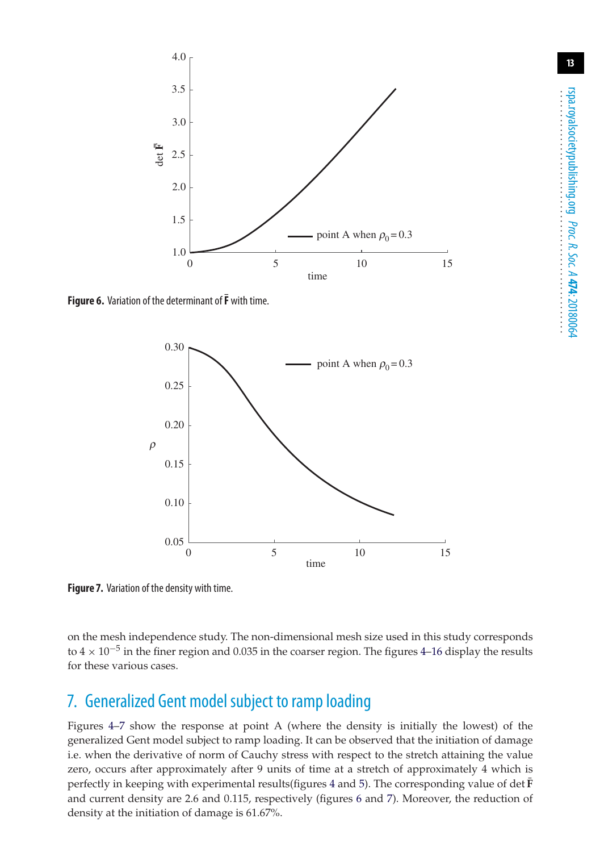<span id="page-12-1"></span>

<span id="page-12-0"></span>**Figure 6.** Variation of the determinant of **F** with time.



**Figure 7.** Variation of the density with time.

on the mesh independence study. The non-dimensional mesh size used in this study corresponds to  $4 \times 10^{-5}$  $4 \times 10^{-5}$  in the finer region and 0.035 in the coarser region. The figures 4[–16](#page-16-0) display the results for these various cases.

### 7. Generalized Gent model subject to ramp loading

Figures [4–](#page-11-0)[7](#page-12-0) show the response at point A (where the density is initially the lowest) of the generalized Gent model subject to ramp loading. It can be observed that the initiation of damage i.e. when the derivative of norm of Cauchy stress with respect to the stretch attaining the value zero, occurs after approximately after 9 units of time at a stretch of approximately 4 which is perfectly in keeping with experimental results(figures [4](#page-11-0) and [5\)](#page-11-1). The corresponding value of det  $\bar{F}$ and current density are 2.6 and 0.115, respectively (figures [6](#page-12-1) and [7\)](#page-12-0). Moreover, the reduction of density at the initiation of damage is 61.67%.

...................................................

**13**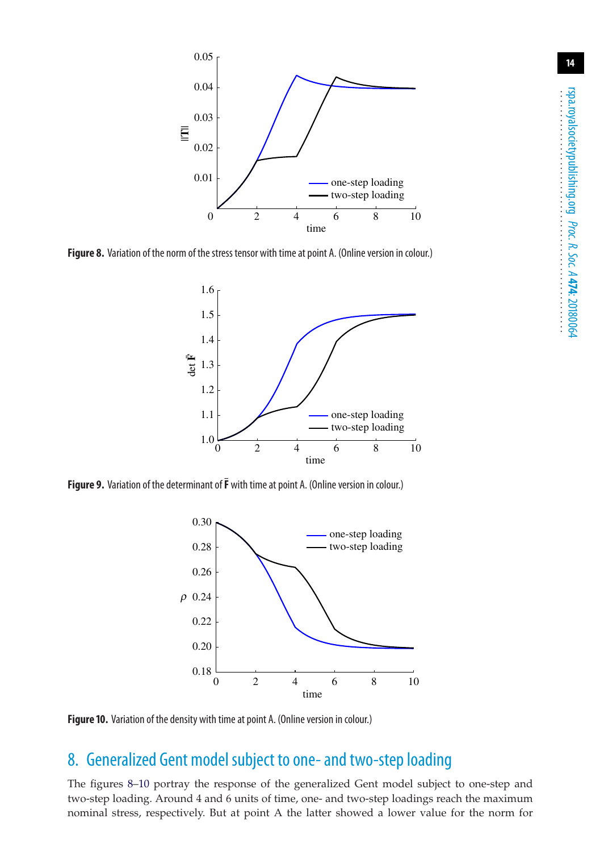**14**

<span id="page-13-0"></span>

<span id="page-13-2"></span>Figure 8. Variation of the norm of the stress tensor with time at point A. (Online version in colour.)



<span id="page-13-1"></span>**Figure 9.** Variation of the determinant of **F** with time at point A. (Online version in colour.)



**Figure 10.** Variation of the density with time at point A. (Online version in colour.)

### 8. Generalized Gent model subject to one- and two-step loading

The figures [8](#page-13-0)[–10](#page-13-1) portray the response of the generalized Gent model subject to one-step and two-step loading. Around 4 and 6 units of time, one- and two-step loadings reach the maximum nominal stress, respectively. But at point A the latter showed a lower value for the norm for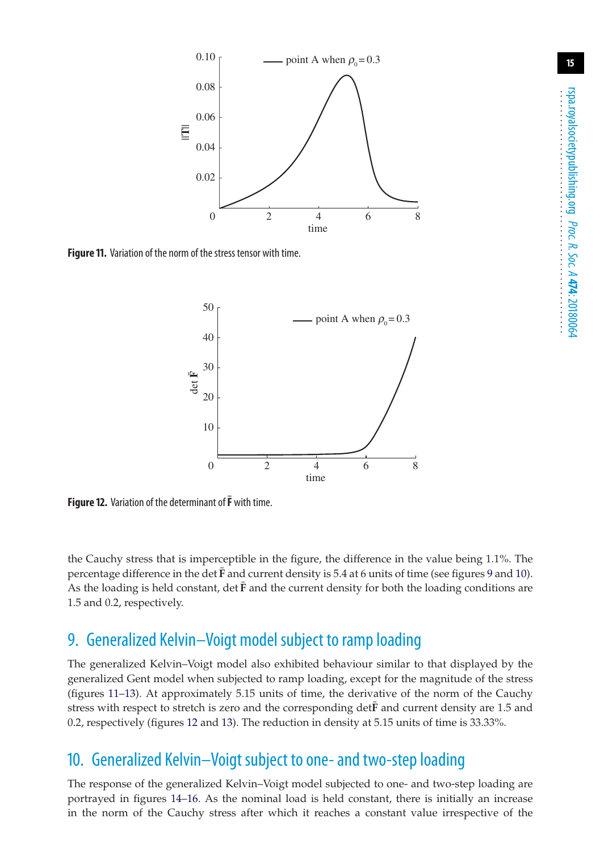<span id="page-14-0"></span>

<span id="page-14-1"></span>**Figure 11.** Variation of the norm of the stress tensor with time.



**Figure 12.** Variation of the determinant of **F** with time.

the Cauchy stress that is imperceptible in the figure, the difference in the value being 1.1%. The percentage difference in the det  $\bar{F}$  and current density is 5.4 at 6 units of time (see figures [9](#page-13-2) and [10\)](#page-13-1). As the loading is held constant, det  $\bar{F}$  and the current density for both the loading conditions are 1.5 and 0.2, respectively.

### 9. Generalized Kelvin–Voigt model subject to ramp loading

The generalized Kelvin–Voigt model also exhibited behaviour similar to that displayed by the generalized Gent model when subjected to ramp loading, except for the magnitude of the stress (figures [11](#page-14-0)[–13\)](#page-15-0). At approximately 5.15 units of time, the derivative of the norm of the Cauchy stress with respect to stretch is zero and the corresponding det**F**¯ and current density are 1.5 and 0.2, respectively (figures [12](#page-14-1) and [13\)](#page-15-0). The reduction in density at 5.15 units of time is 33.33%.

### 10. Generalized Kelvin–Voigt subject to one- and two-step loading

The response of the generalized Kelvin–Voigt model subjected to one- and two-step loading are portrayed in figures [14](#page-15-1)[–16.](#page-16-0) As the nominal load is held constant, there is initially an increase in the norm of the Cauchy stress after which it reaches a constant value irrespective of the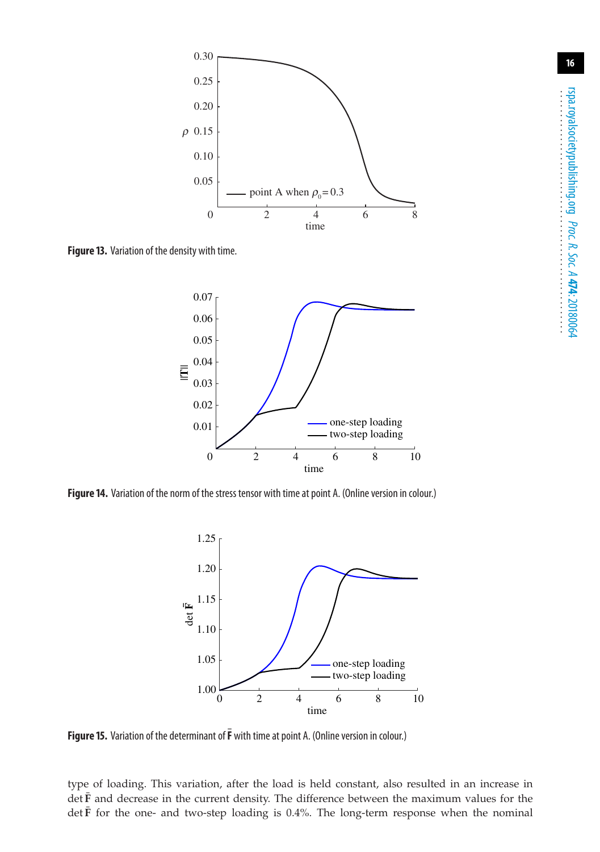<span id="page-15-0"></span>

<span id="page-15-1"></span>**Figure 13.** Variation of the density with time.



Figure 14. Variation of the norm of the stress tensor with time at point A. (Online version in colour.)



Figure 15. Variation of the determinant of F with time at point A. (Online version in colour.)

type of loading. This variation, after the load is held constant, also resulted in an increase in det  $\bar{F}$  and decrease in the current density. The difference between the maximum values for the det  $\bar{F}$  for the one- and two-step loading is 0.4%. The long-term response when the nominal **16**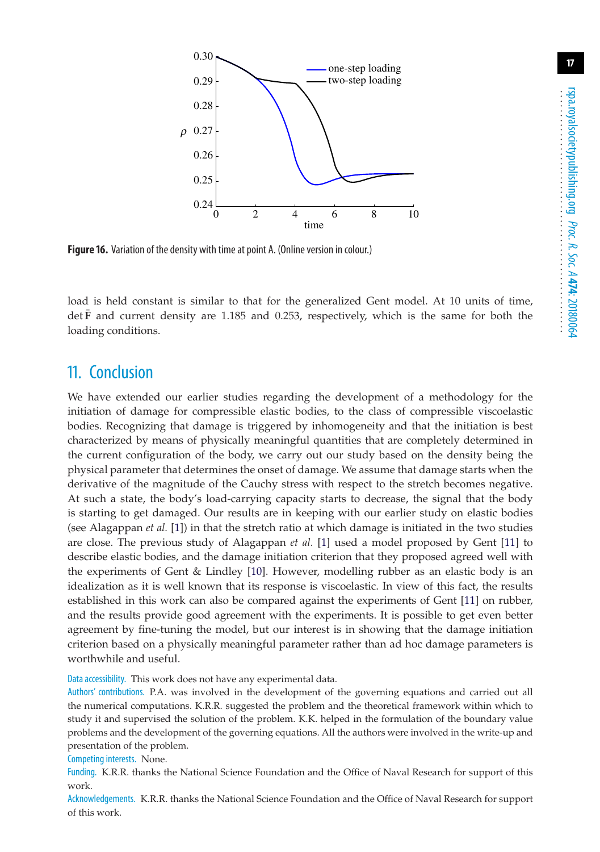<span id="page-16-0"></span>

**Figure 16.** Variation of the density with time at point A. (Online version in colour.)

load is held constant is similar to that for the generalized Gent model. At 10 units of time, det  $\bar{F}$  and current density are 1.185 and 0.253, respectively, which is the same for both the loading conditions.

### 11. Conclusion

We have extended our earlier studies regarding the development of a methodology for the initiation of damage for compressible elastic bodies, to the class of compressible viscoelastic bodies. Recognizing that damage is triggered by inhomogeneity and that the initiation is best characterized by means of physically meaningful quantities that are completely determined in the current configuration of the body, we carry out our study based on the density being the physical parameter that determines the onset of damage. We assume that damage starts when the derivative of the magnitude of the Cauchy stress with respect to the stretch becomes negative. At such a state, the body's load-carrying capacity starts to decrease, the signal that the body is starting to get damaged. Our results are in keeping with our earlier study on elastic bodies (see Alagappan *et al.* [\[1\]](#page-17-0)) in that the stretch ratio at which damage is initiated in the two studies are close. The previous study of Alagappan *et al.* [\[1\]](#page-17-0) used a model proposed by Gent [\[11\]](#page-17-10) to describe elastic bodies, and the damage initiation criterion that they proposed agreed well with the experiments of Gent & Lindley [\[10\]](#page-17-4). However, modelling rubber as an elastic body is an idealization as it is well known that its response is viscoelastic. In view of this fact, the results established in this work can also be compared against the experiments of Gent [\[11\]](#page-17-10) on rubber, and the results provide good agreement with the experiments. It is possible to get even better agreement by fine-tuning the model, but our interest is in showing that the damage initiation criterion based on a physically meaningful parameter rather than ad hoc damage parameters is worthwhile and useful.

Data accessibility. This work does not have any experimental data.

Authors' contributions. P.A. was involved in the development of the governing equations and carried out all the numerical computations. K.R.R. suggested the problem and the theoretical framework within which to study it and supervised the solution of the problem. K.K. helped in the formulation of the boundary value problems and the development of the governing equations. All the authors were involved in the write-up and presentation of the problem.

Competing interests. None.

Funding. K.R.R. thanks the National Science Foundation and the Office of Naval Research for support of this work.

Acknowledgements. K.R.R. thanks the National Science Foundation and the Office of Naval Research for support of this work.